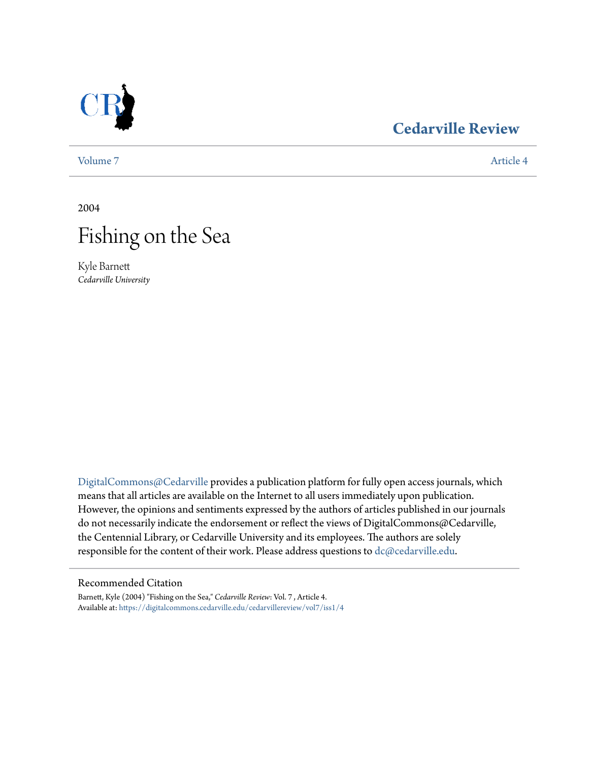

### **[Cedarville Review](https://digitalcommons.cedarville.edu/cedarvillereview?utm_source=digitalcommons.cedarville.edu%2Fcedarvillereview%2Fvol7%2Fiss1%2F4&utm_medium=PDF&utm_campaign=PDFCoverPages)**

[Volume 7](https://digitalcommons.cedarville.edu/cedarvillereview/vol7?utm_source=digitalcommons.cedarville.edu%2Fcedarvillereview%2Fvol7%2Fiss1%2F4&utm_medium=PDF&utm_campaign=PDFCoverPages) [Article 4](https://digitalcommons.cedarville.edu/cedarvillereview/vol7/iss1/4?utm_source=digitalcommons.cedarville.edu%2Fcedarvillereview%2Fvol7%2Fiss1%2F4&utm_medium=PDF&utm_campaign=PDFCoverPages)

2004



Kyle Barnett *Cedarville University*

[DigitalCommons@Cedarville](http://digitalcommons.cedarville.edu) provides a publication platform for fully open access journals, which means that all articles are available on the Internet to all users immediately upon publication. However, the opinions and sentiments expressed by the authors of articles published in our journals do not necessarily indicate the endorsement or reflect the views of DigitalCommons@Cedarville, the Centennial Library, or Cedarville University and its employees. The authors are solely responsible for the content of their work. Please address questions to [dc@cedarville.edu](mailto:dc@cedarville.edu).

#### Recommended Citation

Barnett, Kyle (2004) "Fishing on the Sea," *Cedarville Review*: Vol. 7 , Article 4. Available at: [https://digitalcommons.cedarville.edu/cedarvillereview/vol7/iss1/4](https://digitalcommons.cedarville.edu/cedarvillereview/vol7/iss1/4?utm_source=digitalcommons.cedarville.edu%2Fcedarvillereview%2Fvol7%2Fiss1%2F4&utm_medium=PDF&utm_campaign=PDFCoverPages)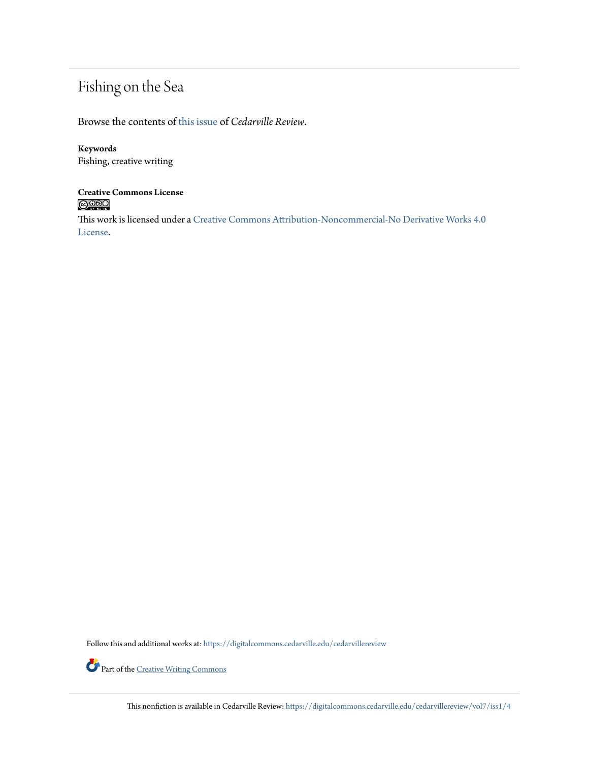## Fishing on the Sea

Browse the contents of [this issue](https://digitalcommons.cedarville.edu/cedarvillereview/vol7/iss1) of *Cedarville Review*.

#### **Keywords**

Fishing, creative writing

# **Creative Commons License**

This work is licensed under a [Creative Commons Attribution-Noncommercial-No Derivative Works 4.0](http://creativecommons.org/licenses/by-nc-nd/4.0/) [License.](http://creativecommons.org/licenses/by-nc-nd/4.0/)

Follow this and additional works at: [https://digitalcommons.cedarville.edu/cedarvillereview](https://digitalcommons.cedarville.edu/cedarvillereview?utm_source=digitalcommons.cedarville.edu%2Fcedarvillereview%2Fvol7%2Fiss1%2F4&utm_medium=PDF&utm_campaign=PDFCoverPages)



Part of the <u>[Creative Writing Commons](http://network.bepress.com/hgg/discipline/574?utm_source=digitalcommons.cedarville.edu%2Fcedarvillereview%2Fvol7%2Fiss1%2F4&utm_medium=PDF&utm_campaign=PDFCoverPages)</u>

This nonfiction is available in Cedarville Review: [https://digitalcommons.cedarville.edu/cedarvillereview/vol7/iss1/4](https://digitalcommons.cedarville.edu/cedarvillereview/vol7/iss1/4?utm_source=digitalcommons.cedarville.edu%2Fcedarvillereview%2Fvol7%2Fiss1%2F4&utm_medium=PDF&utm_campaign=PDFCoverPages)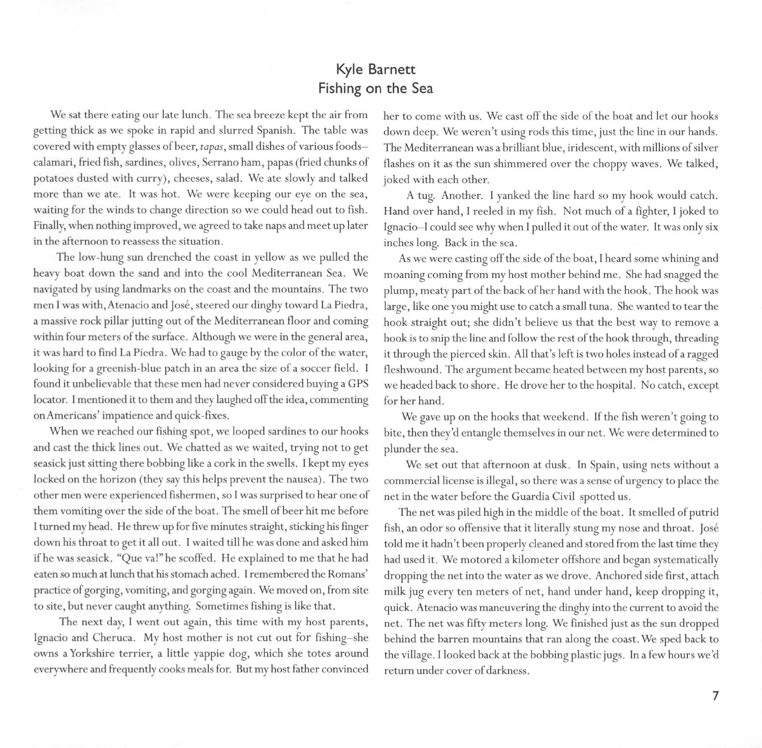#### **Kyle Barnett Fishing on the Sea**

We sat there eating our late lunch. The sea breeze kept the air from getting thick as we spoke in rapid and slurred Spanish. The table was covered with empty glasses of beer, *tapas,* small dishes of various foodscalamari, fried fish, sardines, olives, Serrano ham, papas (fried chunks of potatoes dusted with curry), cheeses, salad. We ate slowly and talked more than we ate. It was hot. We were keeping our eye on the sea, waiting for the winds to change direction so we could head out to fish. Finally, when nothing improved, we agreed to take naps and meet up later in the afternoon to reassess the situation.

The low-hung sun drenched the coast in yellow as we pulled the heavy boat down the sand and into the cool Mediterranean Sea. We navigated by using landmarks on the coast and the mountains. The two men I was with, Atenacio and José, steered our dinghy toward La Piedra, a massive rock pillar jutting out of the Mediterranean floor and coming within four meters of the surface. Although we were in the general area, it was hard to find La Piedra. We had to gauge by the color of the water, looking for a greenish-blue patch in an area the size of a soccer field. I found it unbelievable that these men had never considered buying a GPS locator. I mentioned it to them and they laughed off the idea, commenting on Americans' impatience and quick-fixes.

When we reached our fishing spot, we looped sardines to our hooks and cast the thick lines out. We chatted as we waited, trying not to get seasick just sitting there bobbing like a cork in the swells. I kept my eyes locked on the horizon (they say this helps prevent the nausea). The two other men were experienced fishermen, so l was surprised to hear one of them vomiting over the side of the boat. The smell of beer hit me before l turned my head. He threw up for five minutes straight, sticking his fmger down his throat to get it all out. l waited till he was done and asked him ifhe was seasick. "Que val" he scoffed. He explained to me that he had eaten so much at lunch that his stomach ached. **l** remembered the Romans' practice of gorging, vomiting, and gorging again. We moved on, from site to site, but never caught anything. Sometimes fishing is like that.

The next day, l went out again, this time with my host parents, Ignacio and Cheruca. My host mother is not cut out for fishing-she owns a Yorkshire terrier, a little yappie dog, which she totes around everywhere and frequently cooks meals for. But my host father convinced

her to come with us. We cast off the side of the boat and let our hooks down deep. We weren't using rods this time, just the line in our hands. The Mediterranean was a brilliant blue, iridescent, with millions of silver flashes on it as the sun shimmered over the choppy waves. We talked, joked with each other.

A tug. Another. I yanked the line hard so my hook would catch. Hand over hand, I reeled in my fish. Not much of a fighter, l joked to Ignacio-I could see why when I pulled it out of the water. It was only six inches long. Back in the sea.

As we were casting off the side of the boat, I heard some whining and moaning coming from my host mother behind me. She had snagged the plump, meaty part of the back of her hand with the hook. The hook was large, like one you might use to catch a small tuna. She wanted to tear the hook straight out; she didn't believe us that the best way to remove a hook is to snip the line and follow the rest of the hook through, threading it through the pierced skin. All that's left is two holes instead of a ragged fleshwound. The argument became heated between my host parents, so we headed back to shore. He drove her to the hospital. No catch, except for her hand.

We gave up on the hooks that weekend. If the fish weren't going to bite, then they'd entangle themselves in our net. We were determined to plunder the sea.

We set out that afternoon at dusk. In Spain, using nets without a commercial license is illegal, so there was a sense of urgency to place the net in the water before the Guardia Civil spotted us.

The net was piled high in the middle of the boat. It smelled of putrid fish, an odor so offensive that it literally stung my nose and throat. José told me it hadn't been properly cleaned and stored from the last time they had used it. We motored a kilometer offshore and began systematically dropping the net into the water as we drove. Anchored side first, attach milk jug every ten meters of net, hand under hand, keep dropping it, quick. Atenacio was maneuvering the dinghy into the current to avoid the net. The net was fifty meters long. We finished just as the sun dropped behind the barren mountains that ran along the coast. We sped back to the village. I looked back at the bobbing plastic jugs. In a few hours we'd return under cover of darkness.